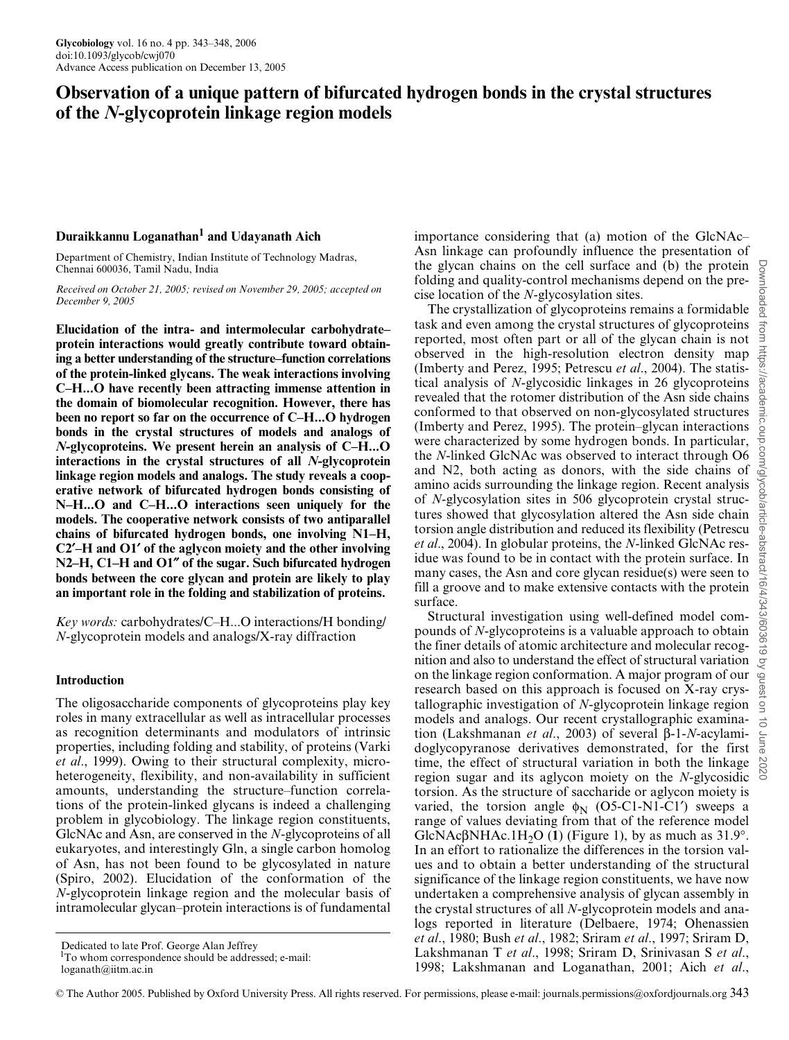# **Observation of a unique pattern of bifurcated hydrogen bonds in the crystal structures of the** *N***-glycoprotein linkage region models**

# **Duraikkannu Loganathan<sup>1</sup> and Udayanath Aich**

Department of Chemistry, Indian Institute of Technology Madras, Chennai 600036, Tamil Nadu, India

*Received on October 21, 2005; revised on November 29, 2005; accepted on December 9, 2005*

**Elucidation of the intra- and intermolecular carbohydrate– protein interactions would greatly contribute toward obtaining a better understanding of the structure–function correlations of the protein-linked glycans. The weak interactions involving C–H...O have recently been attracting immense attention in the domain of biomolecular recognition. However, there has been no report so far on the occurrence of C–H...O hydrogen bonds in the crystal structures of models and analogs of** *N***-glycoproteins. We present herein an analysis of C–H...O interactions in the crystal structures of all** *N***-glycoprotein linkage region models and analogs. The study reveals a cooperative network of bifurcated hydrogen bonds consisting of N–H...O and C–H...O interactions seen uniquely for the models. The cooperative network consists of two antiparallel chains of bifurcated hydrogen bonds, one involving N1–H, C2¢–H and O1¢ of the aglycon moiety and the other involving N2–H, C1–H and O1² of the sugar. Such bifurcated hydrogen bonds between the core glycan and protein are likely to play an important role in the folding and stabilization of proteins.**

*Key words:* carbohydrates/C–H...O interactions/H bonding/ *N*-glycoprotein models and analogs/X-ray diffraction

#### **Introduction**

The oligosaccharide components of glycoproteins play key roles in many extracellular as well as intracellular processes as recognition determinants and modulators of intrinsic properties, including folding and stability, of proteins (Varki *et al*., 1999). Owing to their structural complexity, microheterogeneity, flexibility, and non-availability in sufficient amounts, understanding the structure–function correlations of the protein-linked glycans is indeed a challenging problem in glycobiology. The linkage region constituents, GlcNAc and Asn, are conserved in the *N*-glycoproteins of all eukaryotes, and interestingly Gln, a single carbon homolog of Asn, has not been found to be glycosylated in nature (Spiro, 2002). Elucidation of the conformation of the *N*-glycoprotein linkage region and the molecular basis of intramolecular glycan–protein interactions is of fundamental

importance considering that (a) motion of the GlcNAc– Asn linkage can profoundly influence the presentation of the glycan chains on the cell surface and (b) the protein folding and quality-control mechanisms depend on the precise location of the *N*-glycosylation sites.

The crystallization of glycoproteins remains a formidable task and even among the crystal structures of glycoproteins reported, most often part or all of the glycan chain is not observed in the high-resolution electron density map (Imberty and Perez, 1995; Petrescu *et al*., 2004). The statistical analysis of *N*-glycosidic linkages in 26 glycoproteins revealed that the rotomer distribution of the Asn side chains conformed to that observed on non-glycosylated structures (Imberty and Perez, 1995). The protein–glycan interactions were characterized by some hydrogen bonds. In particular, the *N*-linked GlcNAc was observed to interact through O6 and N2, both acting as donors, with the side chains of amino acids surrounding the linkage region. Recent analysis of *N*-glycosylation sites in 506 glycoprotein crystal structures showed that glycosylation altered the Asn side chain torsion angle distribution and reduced its flexibility (Petrescu *et al*., 2004). In globular proteins, the *N*-linked GlcNAc residue was found to be in contact with the protein surface. In many cases, the Asn and core glycan residue(s) were seen to fill a groove and to make extensive contacts with the protein surface.

Structural investigation using well-defined model compounds of *N*-glycoproteins is a valuable approach to obtain the finer details of atomic architecture and molecular recognition and also to understand the effect of structural variation on the linkage region conformation. A major program of our research based on this approach is focused on X-ray crystallographic investigation of *N*-glycoprotein linkage region models and analogs. Our recent crystallographic examination (Lakshmanan *et al*., 2003) of several β-1-*N*-acylamidon (Lansimianian et al., 2005) of several p-1-*N*-acylami-<br>doglycopyranose derivatives demonstrated, for the first time, the effect of structural variation in both the linkage region sugar and its aglycon moiety on the *N*-glycosidic torsion. As the structure of saccharide or aglycon moiety is varied, the torsion angle  $\phi_N$  (O5-C1-N1-C1') sweeps a range of values deviating from that of the reference model GlcNAc $\beta$ NHAc.1H<sub>2</sub>O (1) (Figure 1), by as much as 31.9°. In an effort to rationalize the differences in the torsion values and to obtain a better understanding of the structural significance of the linkage region constituents, we have now undertaken a comprehensive analysis of glycan assembly in the crystal structures of all *N*-glycoprotein models and analogs reported in literature (Delbaere, 1974; Ohenassien *et al*., 1980; Bush *et al*., 1982; Sriram *et al*., 1997; Sriram D, Lakshmanan T *et al*., 1998; Sriram D, Srinivasan S *et al*., 1998; Lakshmanan and Loganathan, 2001; Aich *et al*.,

Dedicated to late Prof. George Alan Jeffrey

<sup>1</sup> To whom correspondence should be addressed; e-mail: loganath@iitm.ac.in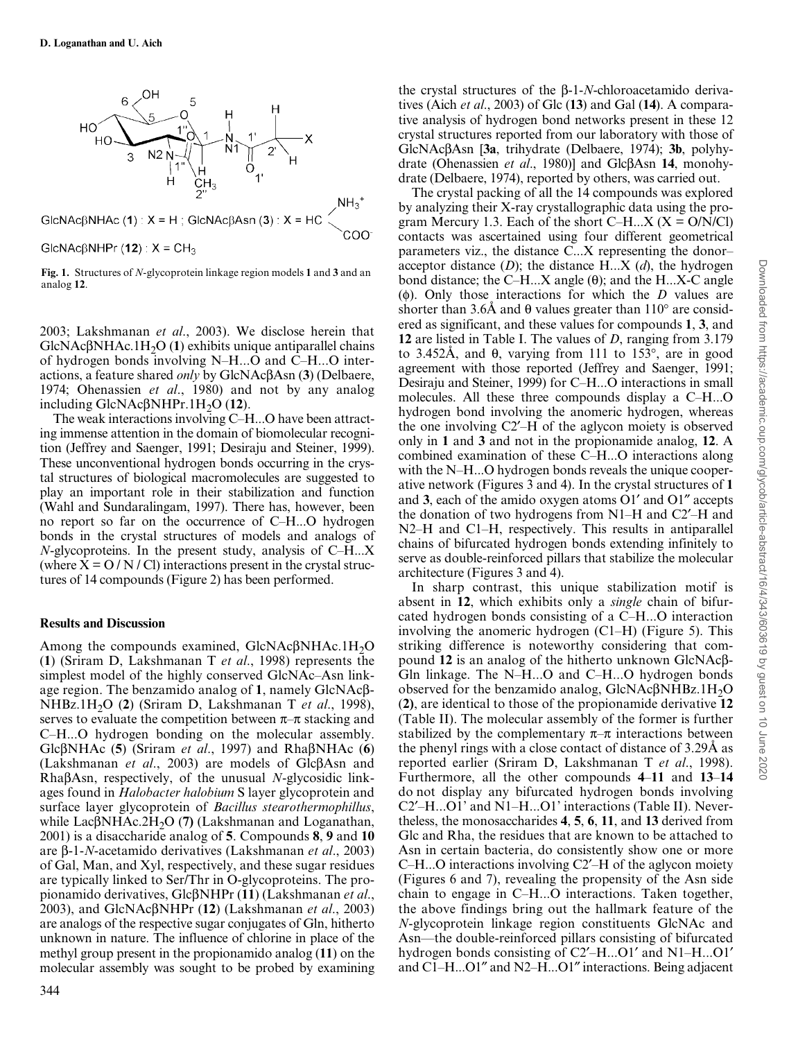

**Fig. 1.** Structures of *N*-glycoprotein linkage region models **1** and **3** and an analog **12**.

2003; Lakshmanan *et al*., 2003). We disclose herein that GlcNAcβNHAc.1H<sub>2</sub>O (1) exhibits unique antiparallel chains of hydrogen bonds involving N–H...O and C–H...O interactions, a feature shared *only* by GlcNAcβAsn (**3**) (Delbaere, 1974; Ohenassien *et al*., 1980) and not by any analog including GlcNAcβNHPr.1H<sub>2</sub>O (12).

The weak interactions involving C–H...O have been attracting immense attention in the domain of biomolecular recognition (Jeffrey and Saenger, 1991; Desiraju and Steiner, 1999). These unconventional hydrogen bonds occurring in the crystal structures of biological macromolecules are suggested to play an important role in their stabilization and function (Wahl and Sundaralingam, 1997). There has, however, been no report so far on the occurrence of C–H...O hydrogen bonds in the crystal structures of models and analogs of *N*-glycoproteins. In the present study, analysis of C–H...X (where  $X = O/N/Cl$ ) interactions present in the crystal structures of 14 compounds (Figure 2) has been performed.

#### **Results and Discussion**

Among the compounds examined,  $GlcNAc\betaNHAc.1H_2O$ (**1**) (Sriram D, Lakshmanan T *et al*., 1998) represents the simplest model of the highly conserved GlcNAc–Asn linkage region. The benzamido analog of **1**, namely GlcNAcβ-NHBz.1H2O (**2**) (Sriram D, Lakshmanan T *et al*., 1998), serves to evaluate the competition between  $\pi-\pi$  stacking and C–H...O hydrogen bonding on the molecular assembly. GlcβNHAc (**5**) (Sriram *et al*., 1997) and RhaβNHAc (**6**) (Lakshmanan *et al*., 2003) are models of GlcβAsn and RhaβAsn, respectively, of the unusual *N-*glycosidic linkages found in *Halobacter halobium* S layer glycoprotein and surface layer glycoprotein of *Bacillus stearothermophillus*, while LacβNHAc.2H<sub>2</sub>O (7) (Lakshmanan and Loganathan, 2001) is a disaccharide analog of **5**. Compounds **8**, **9** and **10** are β-1-*N*-acetamido derivatives (Lakshmanan *et al*., 2003) of Gal, Man, and Xyl, respectively, and these sugar residues are typically linked to Ser/Thr in O-glycoproteins. The propionamido derivatives, GlcβNHPr (**11**) (Lakshmanan *et al*., 2003), and GlcNAcβNHPr (**12**) (Lakshmanan *et al*., 2003) are analogs of the respective sugar conjugates of Gln, hitherto unknown in nature. The influence of chlorine in place of the methyl group present in the propionamido analog (**11**) on the molecular assembly was sought to be probed by examining

344

the crystal structures of the β-1-*N*-chloroacetamido derivatives (Aich *et al*., 2003) of Glc (**13**) and Gal (**14**). A comparative analysis of hydrogen bond networks present in these 12 crystal structures reported from our laboratory with those of GlcNAcβAsn [**3a**, trihydrate (Delbaere, 1974); **3b**, polyhydrate (Ohenassien *et al*., 1980)] and GlcβAsn **14**, monohydrate (Delbaere, 1974), reported by others, was carried out.

The crystal packing of all the 14 compounds was explored by analyzing their X-ray crystallographic data using the program Mercury 1.3. Each of the short C–H... $X$  ( $X = O/N/Cl$ ) contacts was ascertained using four different geometrical parameters viz., the distance C...X representing the donor– acceptor distance (*D*); the distance H...X (*d*), the hydrogen bond distance; the C–H...X angle  $(\theta)$ ; and the H...X–C angle (φ). Only those interactions for which the *D* values are shorter than 3.6Å and  $\theta$  values greater than 110 $\degree$  are considered as significant, and these values for compounds **1**, **3**, and **12** are listed in Table I. The values of *D*, ranging from 3.179 to 3.452Å, and θ, varying from 111 to 153 $^{\circ}$ , are in good agreement with those reported (Jeffrey and Saenger, 1991; Desiraju and Steiner, 1999) for C–H...O interactions in small molecules. All these three compounds display a C–H...O hydrogen bond involving the anomeric hydrogen, whereas the one involving C2′–H of the aglycon moiety is observed only in **1** and **3** and not in the propionamide analog, **12**. A combined examination of these C–H...O interactions along with the N–H...O hydrogen bonds reveals the unique cooperative network (Figures 3 and 4). In the crystal structures of **1** and **3**, each of the amido oxygen atoms O1′ and O1″ accepts the donation of two hydrogens from N1–H and C2′–H and N2–H and C1–H, respectively. This results in antiparallel chains of bifurcated hydrogen bonds extending infinitely to serve as double-reinforced pillars that stabilize the molecular architecture (Figures 3 and 4).

In sharp contrast, this unique stabilization motif is absent in **12**, which exhibits only a *single* chain of bifurcated hydrogen bonds consisting of a C–H...O interaction involving the anomeric hydrogen (C1–H) (Figure 5). This striking difference is noteworthy considering that compound **12** is an analog of the hitherto unknown GlcNAcβ-Gln linkage. The N–H...O and C–H...O hydrogen bonds observed for the benzamido analog,  $GlcNAcβNHBz.1H<sub>2</sub>O$ (**2)**, are identical to those of the propionamide derivative **12** (Table II). The molecular assembly of the former is further stabilized by the complementary  $\pi-\pi$  interactions between the phenyl rings with a close contact of distance of 3.29Å as reported earlier (Sriram D, Lakshmanan T *et al*., 1998). Furthermore, all the other compounds **4**–**11** and **13**–**14** do not display any bifurcated hydrogen bonds involving C2′–H...O1' and N1–H...O1' interactions (Table II). Nevertheless, the monosaccharides **4**, **5**, **6**, **11**, and **13** derived from Glc and Rha, the residues that are known to be attached to Asn in certain bacteria, do consistently show one or more C–H...O interactions involving C2′–H of the aglycon moiety (Figures 6 and 7), revealing the propensity of the Asn side chain to engage in C–H...O interactions. Taken together, the above findings bring out the hallmark feature of the *N*-glycoprotein linkage region constituents GlcNAc and Asn—the double-reinforced pillars consisting of bifurcated hydrogen bonds consisting of C2′–H...O1′ and N1–H...O1′ and C1–H...O1″ and N2–H...O1″ interactions. Being adjacent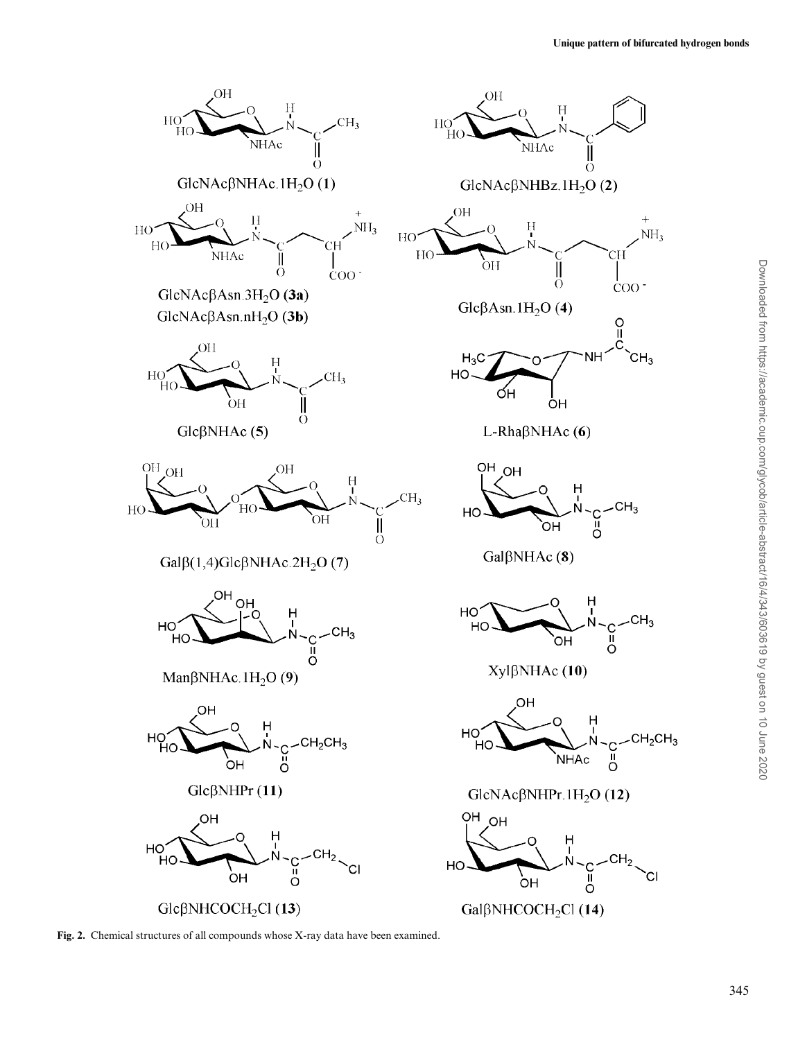

**Fig. 2.** Chemical structures of all compounds whose X-ray data have been examined.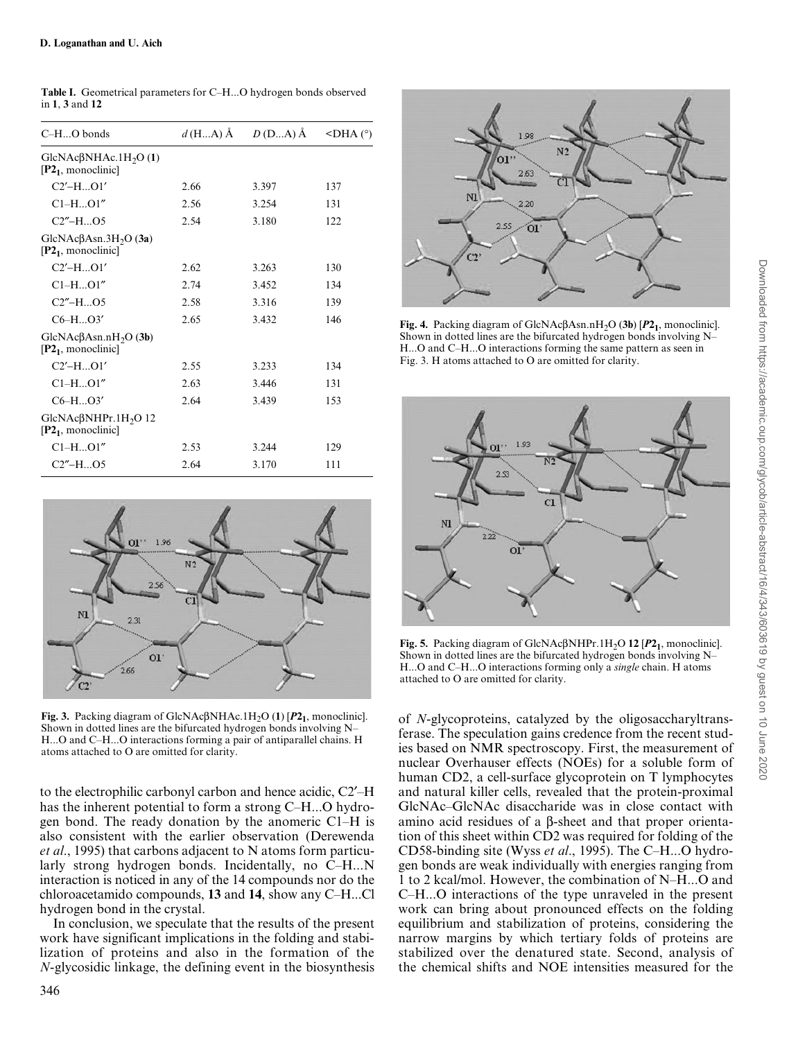|                  | <b>Table I.</b> Geometrical parameters for C-HO hydrogen bonds observed |
|------------------|-------------------------------------------------------------------------|
| in 1, 3 and $12$ |                                                                         |

| $C-HO$ bonds                                                                | $d(HA)$ Å | $D(DA)$ Å | $\triangle$ DHA $(°)$ |
|-----------------------------------------------------------------------------|-----------|-----------|-----------------------|
| $GlcNAc\beta NHAc.1H2O(1)$<br>[P2 <sub>1</sub> , monoclinic]                |           |           |                       |
| $C2'$ -H $O1'$                                                              | 2.66      | 3.397     | 137                   |
| $Cl-HO1''$                                                                  | 2.56      | 3.254     | 131                   |
| $C2''-HO5$                                                                  | 2.54      | 3.180     | 122                   |
| GlcNAc $\beta$ Asn.3H <sub>2</sub> O (3a)<br>[P2 <sub>1</sub> , monoclinic] |           |           |                       |
| $C2'$ -H $O1'$                                                              | 2.62      | 3.263     | 130                   |
| $Cl-HO1''$                                                                  | 2.74      | 3.452     | 134                   |
| $C2''$ -H $O5$                                                              | 2.58      | 3.316     | 139                   |
| $C6-H$ $O3'$                                                                | 2.65      | 3.432     | 146                   |
| $GlcNAc\beta Asn.nH2O(3b)$<br>[P2 <sub>1</sub> , monoclinic]                |           |           |                       |
| $C2'$ -H $$ O1'                                                             | 2.55      | 3.233     | 134                   |
| $Cl-HO1''$                                                                  | 2.63      | 3.446     | 131                   |
| $C6-HO3'$                                                                   | 2.64      | 3.439     | 153                   |
| $GlcNAc\beta NHPr.1H2O 12$<br>[P2 <sub>1</sub> , monoclinic]                |           |           |                       |
| $Cl-HO1''$                                                                  | 2.53      | 3.244     | 129                   |
| $C2''$ -H $O5$                                                              | 2.64      | 3.170     | 111                   |



**Fig. 3.** Packing diagram of GlcNAcβNHAc.1H2O (**1**) [*P***21**, monoclinic]. Shown in dotted lines are the bifurcated hydrogen bonds involving N– H...O and C–H...O interactions forming a pair of antiparallel chains. H atoms attached to O are omitted for clarity.

to the electrophilic carbonyl carbon and hence acidic, C2′–H has the inherent potential to form a strong C–H...O hydrogen bond. The ready donation by the anomeric C1–H is also consistent with the earlier observation (Derewenda *et al*., 1995) that carbons adjacent to N atoms form particularly strong hydrogen bonds. Incidentally, no C–H...N interaction is noticed in any of the 14 compounds nor do the chloroacetamido compounds, **13** and **14**, show any C–H...Cl hydrogen bond in the crystal.

In conclusion, we speculate that the results of the present work have significant implications in the folding and stabilization of proteins and also in the formation of the *N*-glycosidic linkage, the defining event in the biosynthesis



**Fig. 4.** Packing diagram of GlcNAcβAsn.nH2O (**3b**) [*P***21**, monoclinic]. Shown in dotted lines are the bifurcated hydrogen bonds involving N– H...O and C–H...O interactions forming the same pattern as seen in Fig. 3. H atoms attached to O are omitted for clarity.



**Fig. 5.** Packing diagram of GlcNAcβNHPr.1H<sub>2</sub>O 12 [ $P$ <sup>2</sup><sub>1</sub>, monoclinic]. Shown in dotted lines are the bifurcated hydrogen bonds involving N– H...O and C–H...O interactions forming only a *single* chain. H atoms attached to O are omitted for clarity.

of *N*-glycoproteins, catalyzed by the oligosaccharyltransferase. The speculation gains credence from the recent studies based on NMR spectroscopy. First, the measurement of nuclear Overhauser effects (NOEs) for a soluble form of human CD2, a cell-surface glycoprotein on T lymphocytes and natural killer cells, revealed that the protein-proximal GlcNAc–GlcNAc disaccharide was in close contact with amino acid residues of a β-sheet and that proper orientation of this sheet within CD2 was required for folding of the CD58-binding site (Wyss *et al*., 1995). The C–H...O hydrogen bonds are weak individually with energies ranging from 1 to 2 kcal/mol. However, the combination of N–H...O and C–H...O interactions of the type unraveled in the present work can bring about pronounced effects on the folding equilibrium and stabilization of proteins, considering the narrow margins by which tertiary folds of proteins are stabilized over the denatured state. Second, analysis of the chemical shifts and NOE intensities measured for the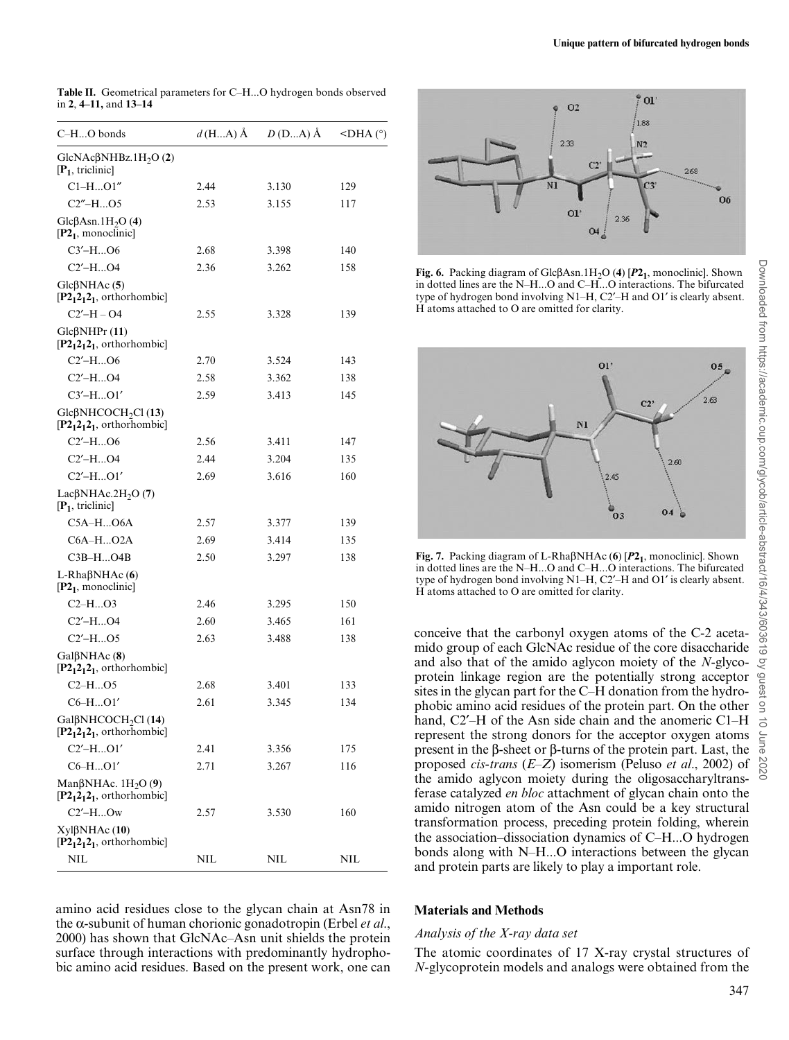| <b>Table II.</b> Geometrical parameters for C–HO hydrogen bonds observed |
|--------------------------------------------------------------------------|
| in 2, $4-11$ , and $13-14$                                               |

| C-HO bonds                                                              | $d(HA)$ Å | $D(DA)$ Å | $\triangle$ DHA $(^{\circ})$ |
|-------------------------------------------------------------------------|-----------|-----------|------------------------------|
| $GlcNAc\beta NHBz.1H2O(2)$<br>$[P_1, triclinic]$                        |           |           |                              |
| $Cl-HO1''$                                                              | 2.44      | 3.130     | 129                          |
| $C2'' - H$ $O5$                                                         | 2.53      | 3.155     | 117                          |
| Glc $\beta$ Asn.1H <sub>2</sub> O (4)<br>[P2 <sub>1</sub> , monoclinic] |           |           |                              |
| $C3'$ -H $$ 06                                                          | 2.68      | 3.398     | 140                          |
| $C2'$ -H $$ O4                                                          | 2.36      | 3.262     | 158                          |
| Glc <sup>β</sup> NHAc(5)<br>$[P212121$ , orthorhombic]                  |           |           |                              |
| $C2'$ -H - O4                                                           | 2.55      | 3.328     | 139                          |
| $Glc$ $\beta$ NHPr(11)<br>$[P212121$ , orthorhombic]                    |           |           |                              |
| $C2'$ -H $O6$                                                           | 2.70      | 3.524     | 143                          |
| $C2'$ -H $O4$                                                           | 2.58      | 3.362     | 138                          |
| $C3'$ -H $O1'$                                                          | 2.59      | 3.413     | 145                          |
| $Glc$ $\beta$ NHCOCH <sub>2</sub> Cl(13)<br>$[P212121$ , orthorhombic]  |           |           |                              |
| $C2'$ -H $$ 06                                                          | 2.56      | 3.411     | 147                          |
| $C2'$ -H $O4$                                                           | 2.44      | 3.204     | 135                          |
| $C2'$ -H $O1'$                                                          | 2.69      | 3.616     | 160                          |
| Lac $\beta$ NHAc.2H <sub>2</sub> O (7)<br>$[P_1, triclinic]$            |           |           |                              |
| $C5A-HO6A$                                                              | 2.57      | 3.377     | 139                          |
| $C6A-HO2A$                                                              | 2.69      | 3.414     | 135                          |
| C3B-HO4B                                                                | 2.50      | 3.297     | 138                          |
| L-Rha $\beta$ NHAc(6)<br>[P2 <sub>1</sub> , monoclinic]                 |           |           |                              |
| $C2-HO3$                                                                | 2.46      | 3.295     | 150                          |
| $C2'$ -H $O4$                                                           | 2.60      | 3.465     | 161                          |
| $C2'$ -H $O5$                                                           | 2.63      | 3.488     | 138                          |
| $Gal\betaNHAc(8)$<br>$[P212121$ , orthorhombic]                         |           |           |                              |
| $C2-HO5$                                                                | 2.68      | 3.401     | 133                          |
| $C6-HO1'$                                                               | 2.61      | 3.345     | 134                          |
| GalßNHCOCH <sub>2</sub> Cl(14)<br>$[P212121$ , orthorhombic]            |           |           |                              |
| $C2'$ -H $O1'$                                                          | 2.41      | 3.356     | 175                          |
| $C6-HO1'$                                                               | 2.71      | 3.267     | 116                          |
| Man $\beta$ NHAc. 1H <sub>2</sub> O (9)<br>$[P212121$ , orthorhombic]   |           |           |                              |
| $C2'$ – $H$ Ow                                                          | 2.57      | 3.530     | 160                          |
| $X$ ylβNHAc $(10)$<br>$[P212121$ , orthorhombic]                        |           |           |                              |
| NIL                                                                     | NIL       | NIL       | NIL                          |

amino acid residues close to the glycan chain at Asn78 in the α-subunit of human chorionic gonadotropin (Erbel *et al*., 2000) has shown that GlcNAc–Asn unit shields the protein surface through interactions with predominantly hydrophobic amino acid residues. Based on the present work, one can



**Fig. 6.** Packing diagram of GlcβAsn.1H2O (**4**) [*P***21**, monoclinic]. Shown in dotted lines are the N–H...O and C–H...O interactions. The bifurcated type of hydrogen bond involving N1–H, C2′–H and O1′ is clearly absent. H atoms attached to O are omitted for clarity.



**Fig. 7.** Packing diagram of L-RhaβNHAc (**6**) [*P***21**, monoclinic]. Shown in dotted lines are the N–H...O and C–H...O interactions. The bifurcated type of hydrogen bond involving N1–H, C2′–H and O1′ is clearly absent. H atoms attached to O are omitted for clarity.

conceive that the carbonyl oxygen atoms of the C-2 acetamido group of each GlcNAc residue of the core disaccharide and also that of the amido aglycon moiety of the *N*-glycoprotein linkage region are the potentially strong acceptor sites in the glycan part for the C–H donation from the hydrophobic amino acid residues of the protein part. On the other hand, C2′–H of the Asn side chain and the anomeric C1–H represent the strong donors for the acceptor oxygen atoms present in the β-sheet or β-turns of the protein part. Last, the proposed *cis-trans* (*E–Z*) isomerism (Peluso *et al*., 2002) of the amido aglycon moiety during the oligosaccharyltransferase catalyzed *en bloc* attachment of glycan chain onto the amido nitrogen atom of the Asn could be a key structural transformation process, preceding protein folding, wherein the association–dissociation dynamics of C–H...O hydrogen bonds along with N–H...O interactions between the glycan and protein parts are likely to play a important role.

#### **Materials and Methods**

### *Analysis of the X-ray data set*

The atomic coordinates of 17 X-ray crystal structures of *N*-glycoprotein models and analogs were obtained from the